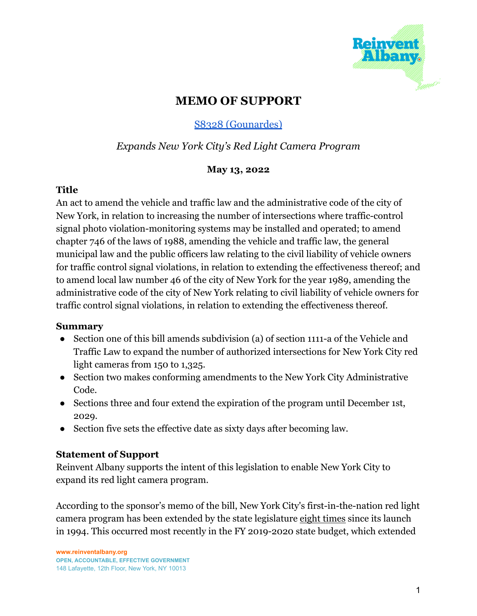

# **MEMO OF SUPPORT**

## S8328 [\(Gounardes\)](https://www.nysenate.gov/legislation/bills/2021/s8328)

## *Expands New York City's Red Light Camera Program*

### **May 13, 2022**

### **Title**

An act to amend the vehicle and traffic law and the administrative code of the city of New York, in relation to increasing the number of intersections where traffic-control signal photo violation-monitoring systems may be installed and operated; to amend chapter 746 of the laws of 1988, amending the vehicle and traffic law, the general municipal law and the public officers law relating to the civil liability of vehicle owners for traffic control signal violations, in relation to extending the effectiveness thereof; and to amend local law number 46 of the city of New York for the year 1989, amending the administrative code of the city of New York relating to civil liability of vehicle owners for traffic control signal violations, in relation to extending the effectiveness thereof.

#### **Summary**

- Section one of this bill amends subdivision (a) of section 1111-a of the Vehicle and Traffic Law to expand the number of authorized intersections for New York City red light cameras from 150 to 1,325.
- Section two makes conforming amendments to the New York City Administrative Code.
- Sections three and four extend the expiration of the program until December 1st, 2029.
- Section five sets the effective date as sixty days after becoming law.

### **Statement of Support**

Reinvent Albany supports the intent of this legislation to enable New York City to expand its red light camera program.

According to the sponsor's memo of the bill, New York City's first-in-the-nation red light camera program has been extended by the state legislature eight times since its launch in 1994. This occurred most recently in the FY 2019-2020 state budget, which extended